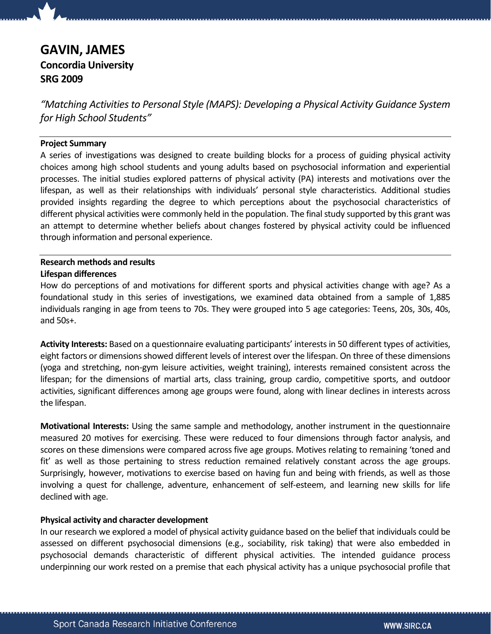# GAVIN, JAMES Concordia University

SRG 2009

"Matching Activities to Personal Style (MAPS): Developing a Physical Activity Guidance System for High School Students"

# Project Summary

A series of investigations was designed to create building blocks for a process of guiding physical activity choices among high school students and young adults based on psychosocial information and experiential processes. The initial studies explored patterns of physical activity (PA) interests and motivations over the lifespan, as well as their relationships with individuals' personal style characteristics. Additional studies provided insights regarding the degree to which perceptions about the psychosocial characteristics of different physical activities were commonly held in the population. The final study supported by this grant was an attempt to determine whether beliefs about changes fostered by physical activity could be influenced through information and personal experience.

### Research methods and results Lifespan differences

How do perceptions of and motivations for different sports and physical activities change with age? As a foundational study in this series of investigations, we examined data obtained from a sample of 1,885 individuals ranging in age from teens to 70s. They were grouped into 5 age categories: Teens, 20s, 30s, 40s, and 50s+.

Activity Interests: Based on a questionnaire evaluating participants' interests in 50 different types of activities, eight factors or dimensions showed different levels of interest over the lifespan. On three of these dimensions (yoga and stretching, non-gym leisure activities, weight training), interests remained consistent across the lifespan; for the dimensions of martial arts, class training, group cardio, competitive sports, and outdoor activities, significant differences among age groups were found, along with linear declines in interests across the lifespan.

Motivational Interests: Using the same sample and methodology, another instrument in the questionnaire measured 20 motives for exercising. These were reduced to four dimensions through factor analysis, and scores on these dimensions were compared across five age groups. Motives relating to remaining 'toned and fit' as well as those pertaining to stress reduction remained relatively constant across the age groups. Surprisingly, however, motivations to exercise based on having fun and being with friends, as well as those involving a quest for challenge, adventure, enhancement of self-esteem, and learning new skills for life declined with age.

## Physical activity and character development

In our research we explored a model of physical activity guidance based on the belief that individuals could be assessed on different psychosocial dimensions (e.g., sociability, risk taking) that were also embedded in psychosocial demands characteristic of different physical activities. The intended guidance process underpinning our work rested on a premise that each physical activity has a unique psychosocial profile that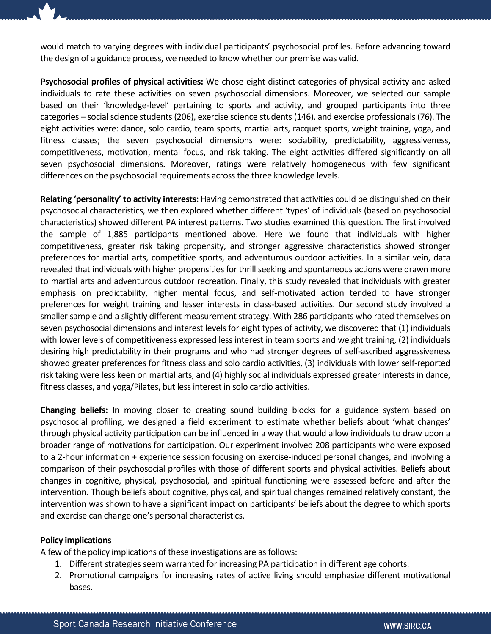would match to varying degrees with individual participants' psychosocial profiles. Before advancing toward the design of a guidance process, we needed to know whether our premise was valid.

Psychosocial profiles of physical activities: We chose eight distinct categories of physical activity and asked individuals to rate these activities on seven psychosocial dimensions. Moreover, we selected our sample based on their 'knowledge-level' pertaining to sports and activity, and grouped participants into three categories – social science students (206), exercise science students (146), and exercise professionals (76). The eight activities were: dance, solo cardio, team sports, martial arts, racquet sports, weight training, yoga, and fitness classes; the seven psychosocial dimensions were: sociability, predictability, aggressiveness, competitiveness, motivation, mental focus, and risk taking. The eight activities differed significantly on all seven psychosocial dimensions. Moreover, ratings were relatively homogeneous with few significant differences on the psychosocial requirements across the three knowledge levels.

Relating 'personality' to activity interests: Having demonstrated that activities could be distinguished on their psychosocial characteristics, we then explored whether different 'types' of individuals (based on psychosocial characteristics) showed different PA interest patterns. Two studies examined this question. The first involved the sample of 1,885 participants mentioned above. Here we found that individuals with higher competitiveness, greater risk taking propensity, and stronger aggressive characteristics showed stronger preferences for martial arts, competitive sports, and adventurous outdoor activities. In a similar vein, data revealed that individuals with higher propensities for thrill seeking and spontaneous actions were drawn more to martial arts and adventurous outdoor recreation. Finally, this study revealed that individuals with greater emphasis on predictability, higher mental focus, and self-motivated action tended to have stronger preferences for weight training and lesser interests in class-based activities. Our second study involved a smaller sample and a slightly different measurement strategy. With 286 participants who rated themselves on seven psychosocial dimensions and interest levels for eight types of activity, we discovered that (1) individuals with lower levels of competitiveness expressed less interest in team sports and weight training, (2) individuals desiring high predictability in their programs and who had stronger degrees of self-ascribed aggressiveness showed greater preferences for fitness class and solo cardio activities, (3) individuals with lower self-reported risk taking were less keen on martial arts, and (4) highly social individuals expressed greater interests in dance, fitness classes, and yoga/Pilates, but less interest in solo cardio activities.

**Changing beliefs:** In moving closer to creating sound building blocks for a guidance system based on psychosocial profiling, we designed a field experiment to estimate whether beliefs about 'what changes' through physical activity participation can be influenced in a way that would allow individuals to draw upon a broader range of motivations for participation. Our experiment involved 208 participants who were exposed to a 2-hour information + experience session focusing on exercise-induced personal changes, and involving a comparison of their psychosocial profiles with those of different sports and physical activities. Beliefs about changes in cognitive, physical, psychosocial, and spiritual functioning were assessed before and after the intervention. Though beliefs about cognitive, physical, and spiritual changes remained relatively constant, the intervention was shown to have a significant impact on participants' beliefs about the degree to which sports and exercise can change one's personal characteristics.

#### Policy implications

A few of the policy implications of these investigations are as follows:

- 1. Different strategies seem warranted for increasing PA participation in different age cohorts.
- 2. Promotional campaigns for increasing rates of active living should emphasize different motivational bases.